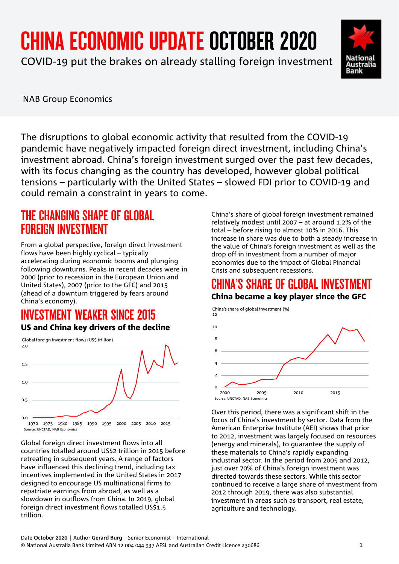# CHINA ECONOMIC UPDATE OCTOBER 2020

COVID-19 put the brakes on already stalling foreign investment



NAB Group Economics

The disruptions to global economic activity that resulted from the COVID-19 pandemic have negatively impacted foreign direct investment, including China's investment abroad. China's foreign investment surged over the past few decades, with its focus changing as the country has developed, however global political tensions – particularly with the United States – slowed FDI prior to COVID-19 and could remain a constraint in years to come.

# THE CHANGING SHAPE OF GLOBAL FOREIGN INVESTMENT

From a global perspective, foreign direct investment flows have been highly cyclical – typically accelerating during economic booms and plunging following downturns. Peaks in recent decades were in 2000 (prior to recession in the European Union and United States), 2007 (prior to the GFC) and 2015 (ahead of a downturn triggered by fears around China's economy).

## INVESTMENT WEAKER SINCE 2015 US and China key drivers of the decline



1970 1975 1980 1985 1990 1995 2000 2005 2010 2015 Source: UNCTAD, NAB Economics

Global foreign direct investment flows into all countries totalled around US\$2 trillion in 2015 before retreating in subsequent years. A range of factors have influenced this declining trend, including tax incentives implemented in the United States in 2017 designed to encourage US multinational firms to repatriate earnings from abroad, as well as a slowdown in outflows from China. In 2019, global foreign direct investment flows totalled US\$1.5 trillion.

China's share of global foreign investment remained relatively modest until 2007 – at around 1.2% of the total – before rising to almost 10% in 2016. This increase in share was due to both a steady increase in the value of China's foreign investment as well as the drop off in investment from a number of major economies due to the impact of Global Financial Crisis and subsequent recessions.

# CHINA'S SHARE OF GLOBAL INVESTMENT China became a key player since the GFC



Over this period, there was a significant shift in the focus of China's investment by sector. Data from the American Enterprise Institute (AEI) shows that prior to 2012, investment was largely focused on resources (energy and minerals), to guarantee the supply of these materials to China's rapidly expanding industrial sector. In the period from 2005 and 2012, just over 70% of China's foreign investment was directed towards these sectors. While this sector continued to receive a large share of investment from 2012 through 2019, there was also substantial investment in areas such as transport, real estate, agriculture and technology.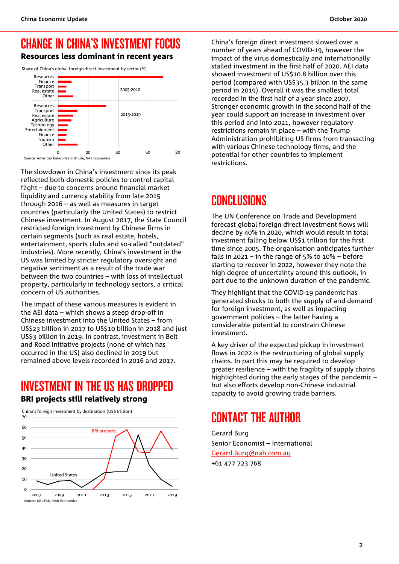## CHANGE IN CHINA'S INVESTMENT FOCUS Resources less dominant in recent years

Share of China's global foreign direct investment by sector (%)



The slowdown in China's investment since its peak reflected both domestic policies to control capital flight – due to concerns around financial market liquidity and currency stability from late 2015 through 2016 – as well as measures in target countries (particularly the United States) to restrict Chinese investment. In August 2017, the State Council restricted foreign investment by Chinese firms in certain segments (such as real estate, hotels, entertainment, sports clubs and so-called "outdated" industries). More recently, China's investment in the US was limited by stricter regulatory oversight and negative sentiment as a result of the trade war between the two countries – with loss of intellectual property, particularly in technology sectors, a critical concern of US authorities.

The impact of these various measures is evident in the AEI data – which shows a steep drop-off in Chinese investment into the United States – from US\$23 billion in 2017 to US\$10 billion in 2018 and just US\$3 billion in 2019. In contrast, investment in Belt and Road Initiative projects (none of which has occurred in the US) also declined in 2019 but remained above levels recorded in 2016 and 2017.

# INVESTMENT IN THE US HAS DROPPED BRI projects still relatively strong



China's foreign investment by destination (US\$ trillion)

China's foreign direct investment slowed over a number of years ahead of COVID-19, however the impact of the virus domestically and internationally stalled investment in the first half of 2020. AEI data showed investment of US\$10.8 billion over this period (compared with US\$35.3 billion in the same period in 2019). Overall it was the smallest total recorded in the first half of a year since 2007. Stronger economic growth in the second half of the year could support an increase in investment over this period and into 2021, however regulatory restrictions remain in place – with the Trump Administration prohibiting US firms from transacting with various Chinese technology firms, and the potential for other countries to implement restrictions.

# **CONCLUSIONS**

The UN Conference on Trade and Development forecast global foreign direct investment flows will decline by 40% in 2020, which would result in total investment falling below US\$1 trillion for the first time since 2005. The organisation anticipates further falls in 2021 – in the range of 5% to  $10\%$  – before starting to recover in 2022, however they note the high degree of uncertainty around this outlook, in part due to the unknown duration of the pandemic.

They highlight that the COVID-19 pandemic has generated shocks to both the supply of and demand for foreign investment, as well as impacting government policies – the latter having a considerable potential to constrain Chinese investment.

A key driver of the expected pickup in investment flows in 2022 is the restructuring of global supply chains. In part this may be required to develop greater resilience – with the fragility of supply chains highlighted during the early stages of the pandemic – but also efforts develop non-Chinese industrial capacity to avoid growing trade barriers.

# CONTACT THE AUTHOR

Gerard Burg Senior Economist – International [Gerard.Burg@nab.com.au](mailto:Gerard.Burg@nab.com.au) +61 477 723 768